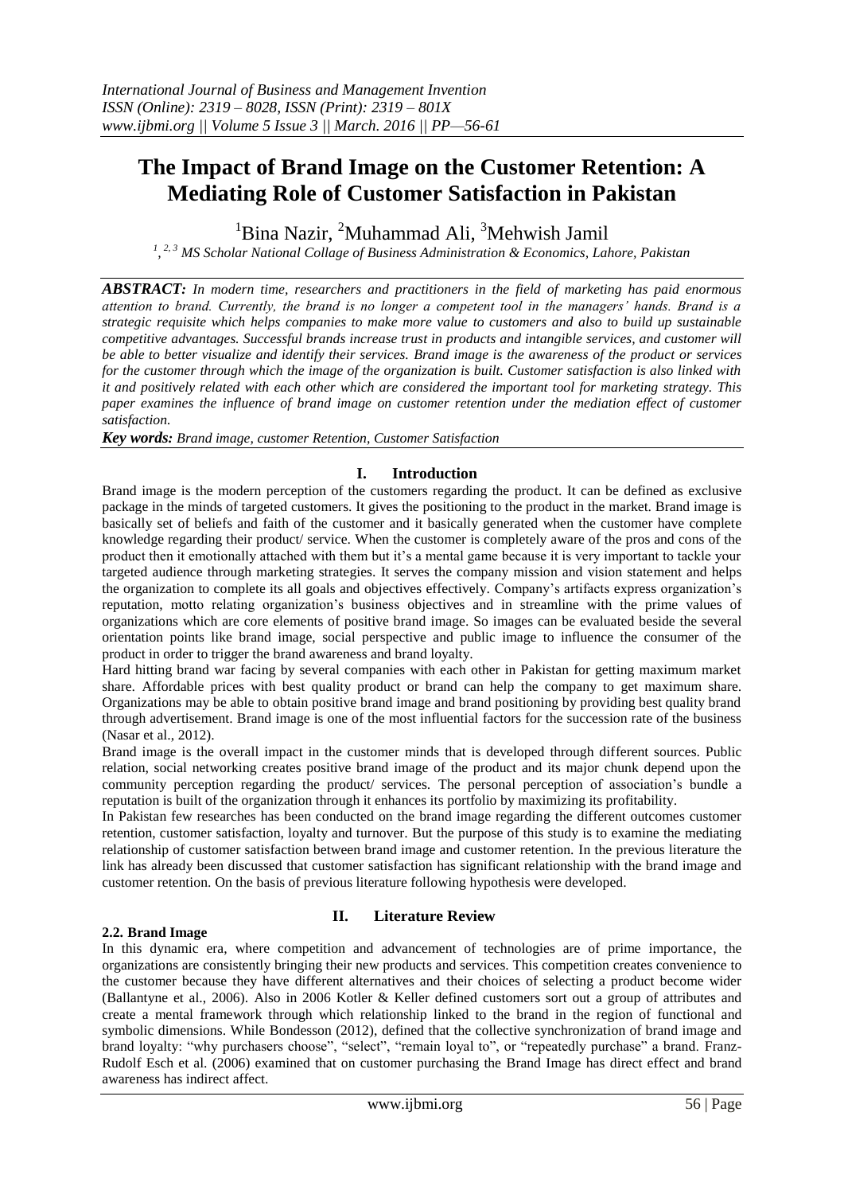# **The Impact of Brand Image on the Customer Retention: A Mediating Role of Customer Satisfaction in Pakistan**

 $1$ Bina Nazir,  $2$ Muhammad Ali,  $3$ Mehwish Jamil

*1 , 2, 3 MS Scholar National Collage of Business Administration & Economics, Lahore, Pakistan*

*ABSTRACT: In modern time, researchers and practitioners in the field of marketing has paid enormous attention to brand. Currently, the brand is no longer a competent tool in the managers' hands. Brand is a strategic requisite which helps companies to make more value to customers and also to build up sustainable competitive advantages. Successful brands increase trust in products and intangible services, and customer will be able to better visualize and identify their services. Brand image is the awareness of the product or services for the customer through which the image of the organization is built. Customer satisfaction is also linked with it and positively related with each other which are considered the important tool for marketing strategy. This paper examines the influence of brand image on customer retention under the mediation effect of customer satisfaction.*

*Key words: Brand image, customer Retention, Customer Satisfaction*

# **I. Introduction**

Brand image is the modern perception of the customers regarding the product. It can be defined as exclusive package in the minds of targeted customers. It gives the positioning to the product in the market. Brand image is basically set of beliefs and faith of the customer and it basically generated when the customer have complete knowledge regarding their product/ service. When the customer is completely aware of the pros and cons of the product then it emotionally attached with them but it's a mental game because it is very important to tackle your targeted audience through marketing strategies. It serves the company mission and vision statement and helps the organization to complete its all goals and objectives effectively. Company's artifacts express organization's reputation, motto relating organization's business objectives and in streamline with the prime values of organizations which are core elements of positive brand image. So images can be evaluated beside the several orientation points like brand image, social perspective and public image to influence the consumer of the product in order to trigger the brand awareness and brand loyalty.

Hard hitting brand war facing by several companies with each other in Pakistan for getting maximum market share. Affordable prices with best quality product or brand can help the company to get maximum share. Organizations may be able to obtain positive brand image and brand positioning by providing best quality brand through advertisement. Brand image is one of the most influential factors for the succession rate of the business (Nasar et al., 2012).

Brand image is the overall impact in the customer minds that is developed through different sources. Public relation, social networking creates positive brand image of the product and its major chunk depend upon the community perception regarding the product/ services. The personal perception of association's bundle a reputation is built of the organization through it enhances its portfolio by maximizing its profitability.

In Pakistan few researches has been conducted on the brand image regarding the different outcomes customer retention, customer satisfaction, loyalty and turnover. But the purpose of this study is to examine the mediating relationship of customer satisfaction between brand image and customer retention. In the previous literature the link has already been discussed that customer satisfaction has significant relationship with the brand image and customer retention. On the basis of previous literature following hypothesis were developed.

## **2.2. Brand Image**

## **II. Literature Review**

In this dynamic era, where competition and advancement of technologies are of prime importance, the organizations are consistently bringing their new products and services. This competition creates convenience to the customer because they have different alternatives and their choices of selecting a product become wider (Ballantyne et al., 2006). Also in 2006 Kotler & Keller defined customers sort out a group of attributes and create a mental framework through which relationship linked to the brand in the region of functional and symbolic dimensions. While Bondesson (2012), defined that the collective synchronization of brand image and brand loyalty: "why purchasers choose", "select", "remain loyal to", or "repeatedly purchase" a brand. Franz-Rudolf Esch et al. (2006) examined that on customer purchasing the Brand Image has direct effect and brand awareness has indirect affect.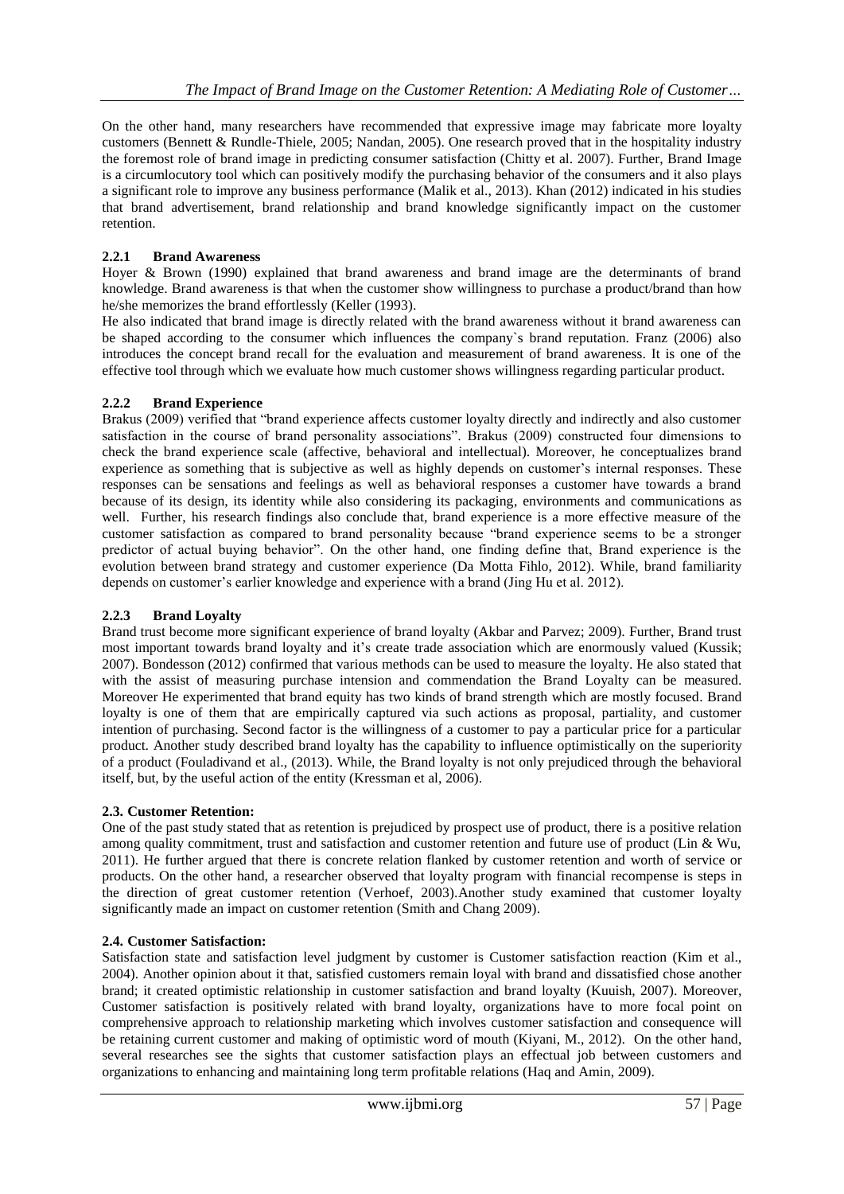On the other hand, many researchers have recommended that expressive image may fabricate more loyalty customers (Bennett & Rundle-Thiele, 2005; Nandan, 2005). One research proved that in the hospitality industry the foremost role of brand image in predicting consumer satisfaction (Chitty et al. 2007). Further, Brand Image is a circumlocutory tool which can positively modify the purchasing behavior of the consumers and it also plays a significant role to improve any business performance (Malik et al., 2013). Khan (2012) indicated in his studies that brand advertisement, brand relationship and brand knowledge significantly impact on the customer retention.

## **2.2.1 Brand Awareness**

Hoyer & Brown (1990) explained that brand awareness and brand image are the determinants of brand knowledge. Brand awareness is that when the customer show willingness to purchase a product/brand than how he/she memorizes the brand effortlessly (Keller (1993).

He also indicated that brand image is directly related with the brand awareness without it brand awareness can be shaped according to the consumer which influences the company`s brand reputation. Franz (2006) also introduces the concept brand recall for the evaluation and measurement of brand awareness. It is one of the effective tool through which we evaluate how much customer shows willingness regarding particular product.

## **2.2.2 Brand Experience**

Brakus (2009) verified that "brand experience affects customer loyalty directly and indirectly and also customer satisfaction in the course of brand personality associations". Brakus (2009) constructed four dimensions to check the brand experience scale (affective, behavioral and intellectual). Moreover, he conceptualizes brand experience as something that is subjective as well as highly depends on customer's internal responses. These responses can be sensations and feelings as well as behavioral responses a customer have towards a brand because of its design, its identity while also considering its packaging, environments and communications as well. Further, his research findings also conclude that, brand experience is a more effective measure of the customer satisfaction as compared to brand personality because "brand experience seems to be a stronger predictor of actual buying behavior". On the other hand, one finding define that, Brand experience is the evolution between brand strategy and customer experience (Da Motta Fihlo, 2012). While, brand familiarity depends on customer's earlier knowledge and experience with a brand (Jing Hu et al. 2012).

## **2.2.3 Brand Loyalty**

Brand trust become more significant experience of brand loyalty (Akbar and Parvez; 2009). Further, Brand trust most important towards brand loyalty and it's create trade association which are enormously valued (Kussik; 2007). Bondesson (2012) confirmed that various methods can be used to measure the loyalty. He also stated that with the assist of measuring purchase intension and commendation the Brand Loyalty can be measured. Moreover He experimented that brand equity has two kinds of brand strength which are mostly focused. Brand loyalty is one of them that are empirically captured via such actions as proposal, partiality, and customer intention of purchasing. Second factor is the willingness of a customer to pay a particular price for a particular product. Another study described brand loyalty has the capability to influence optimistically on the superiority of a product (Fouladivand et al., (2013). While, the Brand loyalty is not only prejudiced through the behavioral itself, but, by the useful action of the entity (Kressman et al, 2006).

## **2.3. Customer Retention:**

One of the past study stated that as retention is prejudiced by prospect use of product, there is a positive relation among quality commitment, trust and satisfaction and customer retention and future use of product (Lin & Wu, 2011). He further argued that there is concrete relation flanked by customer retention and worth of service or products. On the other hand, a researcher observed that loyalty program with financial recompense is steps in the direction of great customer retention (Verhoef, 2003).Another study examined that customer loyalty significantly made an impact on customer retention (Smith and Chang 2009).

## **2.4. Customer Satisfaction:**

Satisfaction state and satisfaction level judgment by customer is Customer satisfaction reaction (Kim et al., 2004). Another opinion about it that, satisfied customers remain loyal with brand and dissatisfied chose another brand; it created optimistic relationship in customer satisfaction and brand loyalty (Kuuish, 2007). Moreover, Customer satisfaction is positively related with brand loyalty, organizations have to more focal point on comprehensive approach to relationship marketing which involves customer satisfaction and consequence will be retaining current customer and making of optimistic word of mouth (Kiyani, M., 2012). On the other hand, several researches see the sights that customer satisfaction plays an effectual job between customers and organizations to enhancing and maintaining long term profitable relations (Haq and Amin, 2009).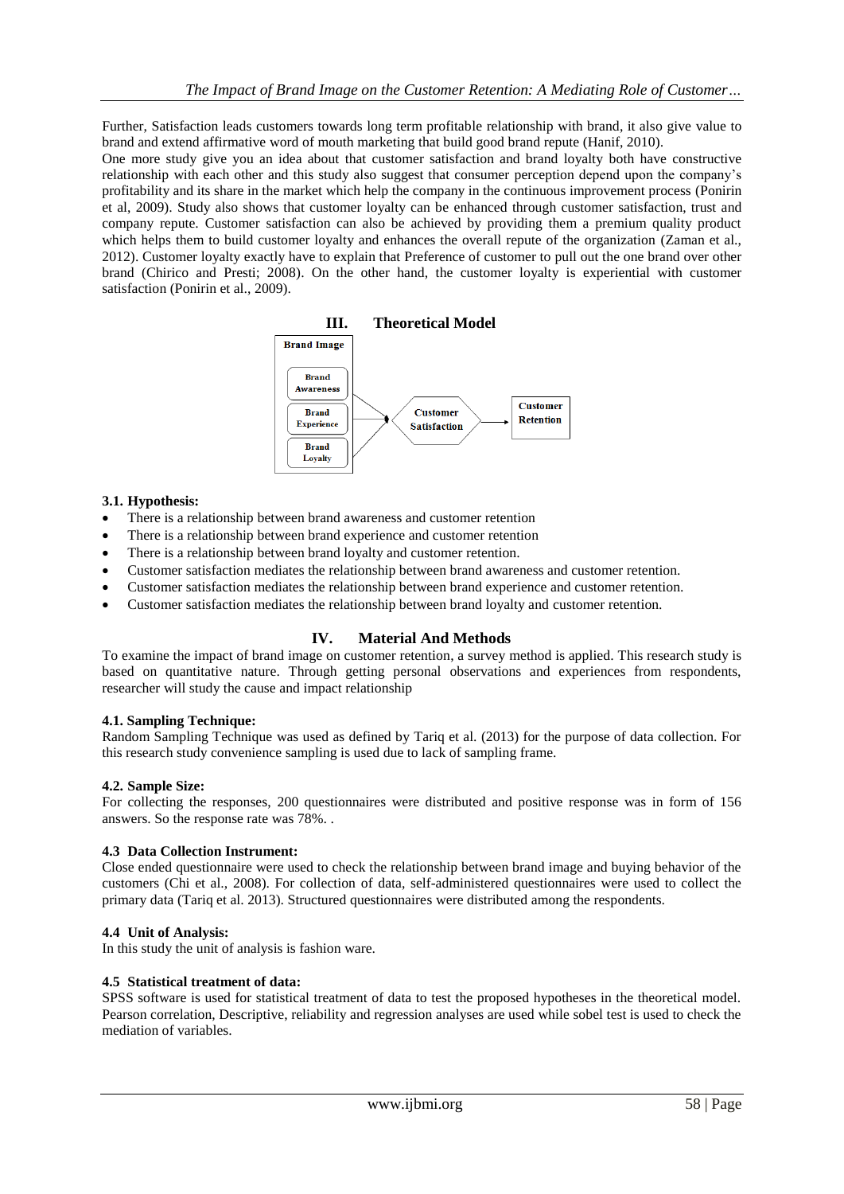Further, Satisfaction leads customers towards long term profitable relationship with brand, it also give value to brand and extend affirmative word of mouth marketing that build good brand repute (Hanif, 2010).

One more study give you an idea about that customer satisfaction and brand loyalty both have constructive relationship with each other and this study also suggest that consumer perception depend upon the company's profitability and its share in the market which help the company in the continuous improvement process (Ponirin et al, 2009). Study also shows that customer loyalty can be enhanced through customer satisfaction, trust and company repute. Customer satisfaction can also be achieved by providing them a premium quality product which helps them to build customer loyalty and enhances the overall repute of the organization (Zaman et al., 2012). Customer loyalty exactly have to explain that Preference of customer to pull out the one brand over other brand (Chirico and Presti; 2008). On the other hand, the customer loyalty is experiential with customer satisfaction (Ponirin et al., 2009).



## **3.1. Hypothesis:**

- There is a relationship between brand awareness and customer retention
- There is a relationship between brand experience and customer retention
- There is a relationship between brand loyalty and customer retention.
- Customer satisfaction mediates the relationship between brand awareness and customer retention.
- Customer satisfaction mediates the relationship between brand experience and customer retention.
- Customer satisfaction mediates the relationship between brand loyalty and customer retention.

# **IV. Material And Methods**

To examine the impact of brand image on customer retention, a survey method is applied. This research study is based on quantitative nature. Through getting personal observations and experiences from respondents, researcher will study the cause and impact relationship

## **4.1. Sampling Technique:**

Random Sampling Technique was used as defined by Tariq et al. (2013) for the purpose of data collection. For this research study convenience sampling is used due to lack of sampling frame.

## **4.2. Sample Size:**

For collecting the responses, 200 questionnaires were distributed and positive response was in form of 156 answers. So the response rate was 78%. .

## **4.3 Data Collection Instrument:**

Close ended questionnaire were used to check the relationship between brand image and buying behavior of the customers (Chi et al., 2008). For collection of data, self-administered questionnaires were used to collect the primary data (Tariq et al. 2013). Structured questionnaires were distributed among the respondents.

## **4.4 Unit of Analysis:**

In this study the unit of analysis is fashion ware.

## **4.5 Statistical treatment of data:**

SPSS software is used for statistical treatment of data to test the proposed hypotheses in the theoretical model. Pearson correlation, Descriptive, reliability and regression analyses are used while sobel test is used to check the mediation of variables.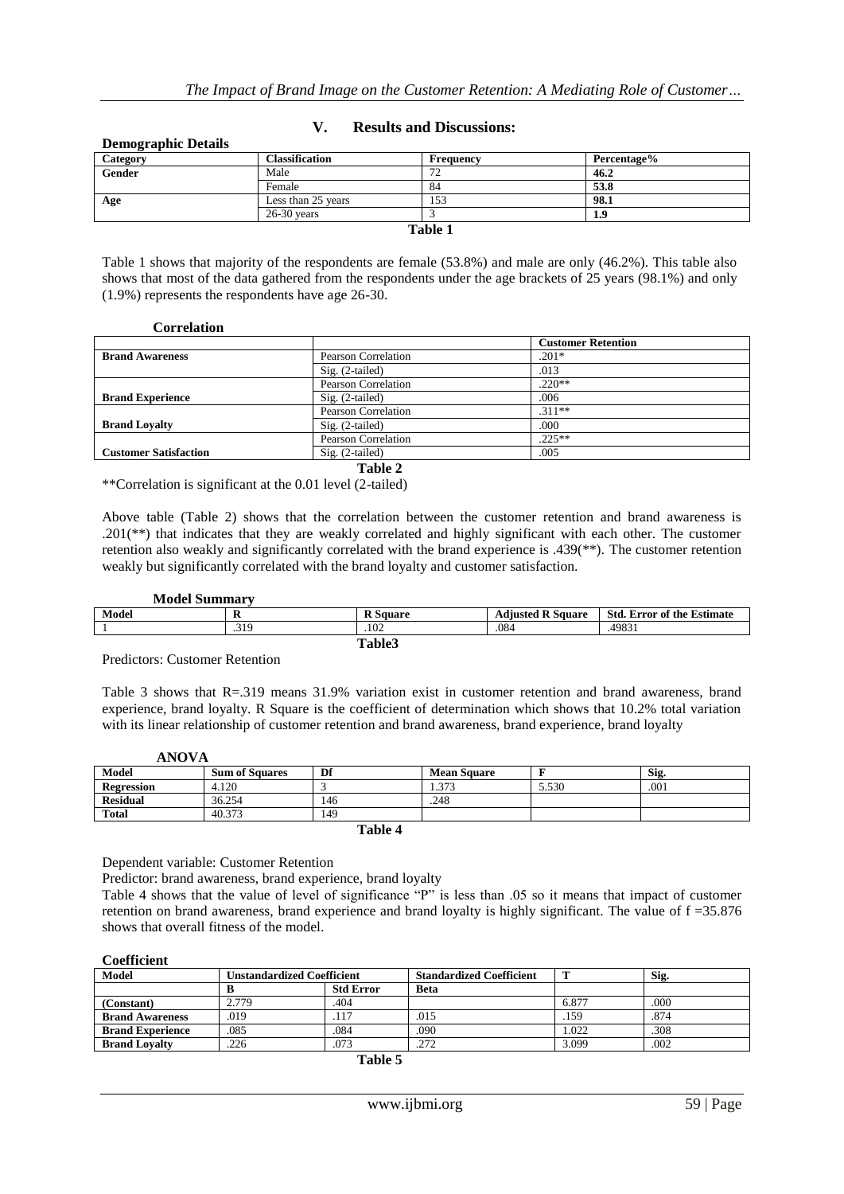| Category      | <b>Classification</b> | Frequency    | Percentage% |
|---------------|-----------------------|--------------|-------------|
| <b>Gender</b> | Male                  | $\mathbf{a}$ | 46.2        |
|               | Female                | 84           | 53.8        |
| Age           | Less than 25 years    | 153          | 98.1        |
|               | $26-30$ vears         |              | 1.9         |
|               |                       | Table 1      |             |

## **V. Results and Discussions:**

Table 1 shows that majority of the respondents are female (53.8%) and male are only (46.2%). This table also shows that most of the data gathered from the respondents under the age brackets of 25 years (98.1%) and only (1.9%) represents the respondents have age 26-30.

## **Correlation**

**Demographic Details**

|                              |                     | <b>Customer Retention</b> |
|------------------------------|---------------------|---------------------------|
| <b>Brand Awareness</b>       | Pearson Correlation | $.201*$                   |
|                              | $Sig. (2-tailed)$   | .013                      |
|                              | Pearson Correlation | $.220**$                  |
| <b>Brand Experience</b>      | $Sig. (2-tailed)$   | .006                      |
|                              | Pearson Correlation | $.311**$                  |
| <b>Brand Lovalty</b>         | $Sig. (2-tailed)$   | .000                      |
|                              | Pearson Correlation | $.225**$                  |
| <b>Customer Satisfaction</b> | $Sig. (2-tailed)$   | .005                      |

**Table 2**

\*\*Correlation is significant at the 0.01 level (2-tailed)

Above table (Table 2) shows that the correlation between the customer retention and brand awareness is .201(\*\*) that indicates that they are weakly correlated and highly significant with each other. The customer retention also weakly and significantly correlated with the brand experience is .439(\*\*). The customer retention weakly but significantly correlated with the brand loyalty and customer satisfaction.

| <b>Model Summary</b> |      |                 |                          |                                   |
|----------------------|------|-----------------|--------------------------|-----------------------------------|
| Model                |      | <b>R</b> Square | <b>Adiusted R Square</b> | <b>Std. Error of the Estimate</b> |
|                      | .319 | .102            | .084                     | .49831                            |
| Table3               |      |                 |                          |                                   |

Predictors: Customer Retention

Table 3 shows that R=.319 means 31.9% variation exist in customer retention and brand awareness, brand experience, brand loyalty. R Square is the coefficient of determination which shows that 10.2% total variation with its linear relationship of customer retention and brand awareness, brand experience, brand loyalty

| ANOVA             |                       |     |                    |       |      |
|-------------------|-----------------------|-----|--------------------|-------|------|
| Model             | <b>Sum of Squares</b> | Df  | <b>Mean Square</b> |       | Sig. |
| <b>Regression</b> | 4.120                 |     | 1.373              | 5.530 | .001 |
| <b>Residual</b>   | 36.254                | 146 | .248               |       |      |
| <b>Total</b>      | 40.373                | 149 |                    |       |      |
| ___               |                       |     |                    |       |      |

**Table 4**

Dependent variable: Customer Retention

Predictor: brand awareness, brand experience, brand loyalty

Table 4 shows that the value of level of significance "P" is less than .05 so it means that impact of customer retention on brand awareness, brand experience and brand loyalty is highly significant. The value of f =35.876 shows that overall fitness of the model.

| <b>Model</b>            | <b>Unstandardized Coefficient</b> |                  | <b>Standardized Coefficient</b> |       | Sig. |
|-------------------------|-----------------------------------|------------------|---------------------------------|-------|------|
|                         |                                   | <b>Std Error</b> | <b>Beta</b>                     |       |      |
| (Constant)              | 2.779                             | .404             |                                 | 6.877 | .000 |
| <b>Brand Awareness</b>  | .019                              | .117             | .015                            | .159  | .874 |
| <b>Brand Experience</b> | .085                              | .084             | .090                            | .022  | .308 |
| <b>Brand Lovalty</b>    | 226                               | 073              | .272                            | 3.099 | .002 |

| anı |
|-----|
|-----|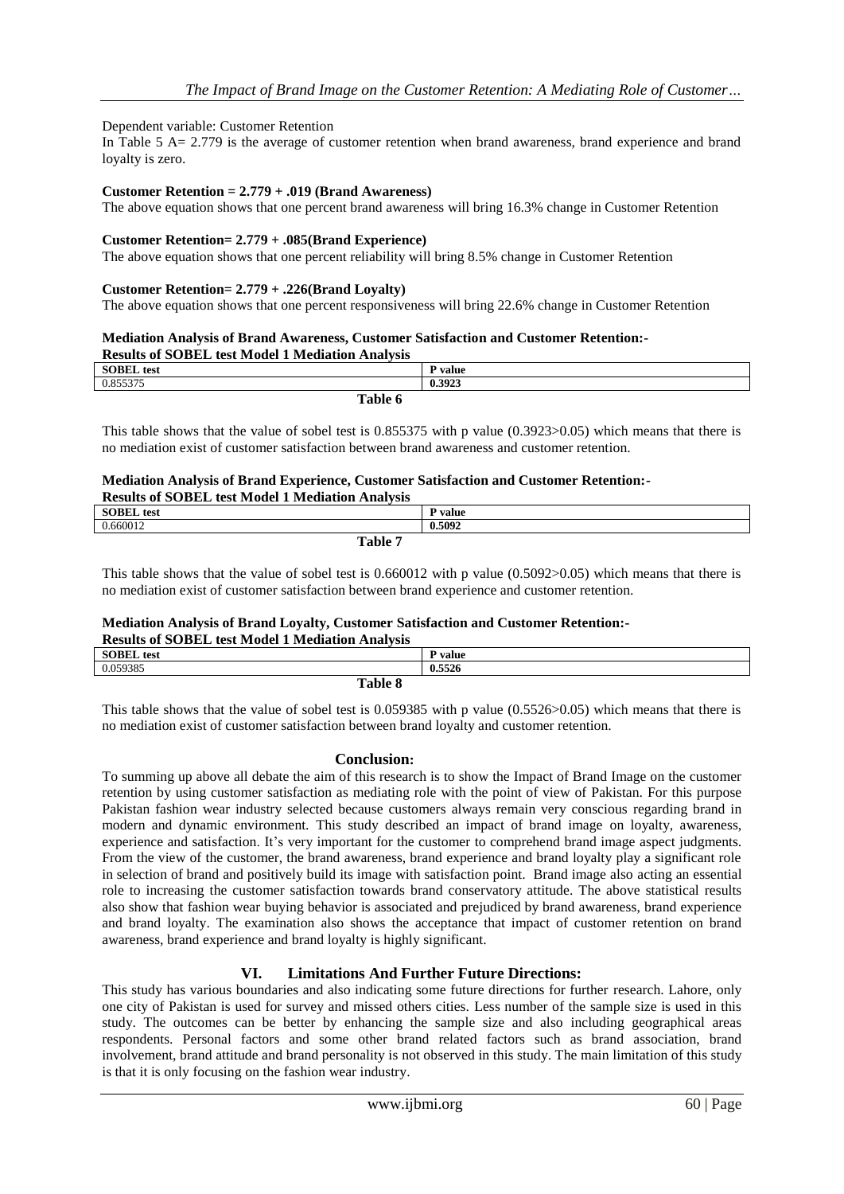## Dependent variable: Customer Retention

In Table 5 A= 2.779 is the average of customer retention when brand awareness, brand experience and brand loyalty is zero.

## **Customer Retention = 2.779 + .019 (Brand Awareness)**

The above equation shows that one percent brand awareness will bring 16.3% change in Customer Retention

## **Customer Retention= 2.779 + .085(Brand Experience)**

The above equation shows that one percent reliability will bring 8.5% change in Customer Retention

#### **Customer Retention= 2.779 + .226(Brand Loyalty)**

The above equation shows that one percent responsiveness will bring 22.6% change in Customer Retention

#### **Mediation Analysis of Brand Awareness, Customer Satisfaction and Customer Retention:- Results of SOBEL test Model 1 Mediation Analysis**

| <b>SOBEL</b> test | $\mathbf{p}$ value |
|-------------------|--------------------|
| 0.055275<br>U.83  | 0.3923             |
| Table 6           |                    |

This table shows that the value of sobel test is 0.855375 with p value (0.3923>0.05) which means that there is no mediation exist of customer satisfaction between brand awareness and customer retention.

#### **Mediation Analysis of Brand Experience, Customer Satisfaction and Customer Retention:- Results of SOBEL test Model 1 Mediation Analysis**

| Results of SODEL test model 1 mediation Analysis |         |
|--------------------------------------------------|---------|
| <b>SOBEL</b> test                                | P value |
| 0.660012                                         | 0.5092  |
| Table 7                                          |         |

This table shows that the value of sobel test is 0.660012 with p value (0.5092>0.05) which means that there is no mediation exist of customer satisfaction between brand experience and customer retention.

## **Mediation Analysis of Brand Loyalty, Customer Satisfaction and Customer Retention:-**

#### **Results of SOBEL test Model 1 Mediation Analysis**

| Tropario of problem volverance a fraculture i finite plu |                |  |
|----------------------------------------------------------|----------------|--|
| <b>SOBEL</b> test                                        | <b>P</b> value |  |
| 0.059385                                                 | 0.5526         |  |
| Table 8                                                  |                |  |

This table shows that the value of sobel test is 0.059385 with p value (0.5526>0.05) which means that there is no mediation exist of customer satisfaction between brand loyalty and customer retention.

## **Conclusion:**

To summing up above all debate the aim of this research is to show the Impact of Brand Image on the customer retention by using customer satisfaction as mediating role with the point of view of Pakistan. For this purpose Pakistan fashion wear industry selected because customers always remain very conscious regarding brand in modern and dynamic environment. This study described an impact of brand image on loyalty, awareness, experience and satisfaction. It's very important for the customer to comprehend brand image aspect judgments. From the view of the customer, the brand awareness, brand experience and brand loyalty play a significant role in selection of brand and positively build its image with satisfaction point. Brand image also acting an essential role to increasing the customer satisfaction towards brand conservatory attitude. The above statistical results also show that fashion wear buying behavior is associated and prejudiced by brand awareness, brand experience and brand loyalty. The examination also shows the acceptance that impact of customer retention on brand awareness, brand experience and brand loyalty is highly significant.

## **VI. Limitations And Further Future Directions:**

This study has various boundaries and also indicating some future directions for further research. Lahore, only one city of Pakistan is used for survey and missed others cities. Less number of the sample size is used in this study. The outcomes can be better by enhancing the sample size and also including geographical areas respondents. Personal factors and some other brand related factors such as brand association, brand involvement, brand attitude and brand personality is not observed in this study. The main limitation of this study is that it is only focusing on the fashion wear industry.